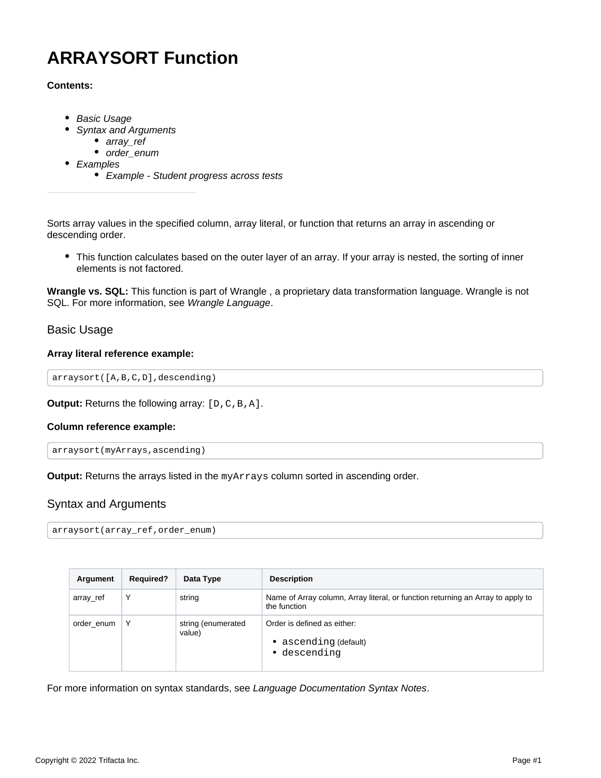# **ARRAYSORT Function**

# **Contents:**

- [Basic Usage](#page-0-0)
- [Syntax and Arguments](#page-0-1)
	- [array\\_ref](#page-1-0)
	- order enum
- [Examples](#page-1-2)
	- [Example Student progress across tests](#page-1-3)

Sorts array values in the specified column, array literal, or function that returns an array in ascending or descending order.

This function calculates based on the outer layer of an array. If your array is nested, the sorting of inner elements is not factored.

**Wrangle vs. SQL:** This function is part of Wrangle , a proprietary data transformation language. Wrangle is not SQL. For more information, see [Wrangle Language](https://docs.trifacta.com/display/AWS/Wrangle+Language).

# <span id="page-0-0"></span>Basic Usage

# **Array literal reference example:**

```
arraysort([A,B,C,D],descending)
```
**Output:** Returns the following array:  $[D, C, B, A]$ .

# **Column reference example:**

```
arraysort(myArrays,ascending)
```
**Output:** Returns the arrays listed in the myArrays column sorted in ascending order.

# <span id="page-0-1"></span>Syntax and Arguments

```
arraysort(array_ref,order_enum)
```

| Argument   | <b>Required?</b> | Data Type                    | <b>Description</b>                                                                              |
|------------|------------------|------------------------------|-------------------------------------------------------------------------------------------------|
| array_ref  | Υ                | string                       | Name of Array column, Array literal, or function returning an Array to apply to<br>the function |
| order enum |                  | string (enumerated<br>value) | Order is defined as either:<br>• ascending (default)<br>• descending                            |

For more information on syntax standards, see [Language Documentation Syntax Notes](https://docs.trifacta.com/display/AWS/Language+Documentation+Syntax+Notes).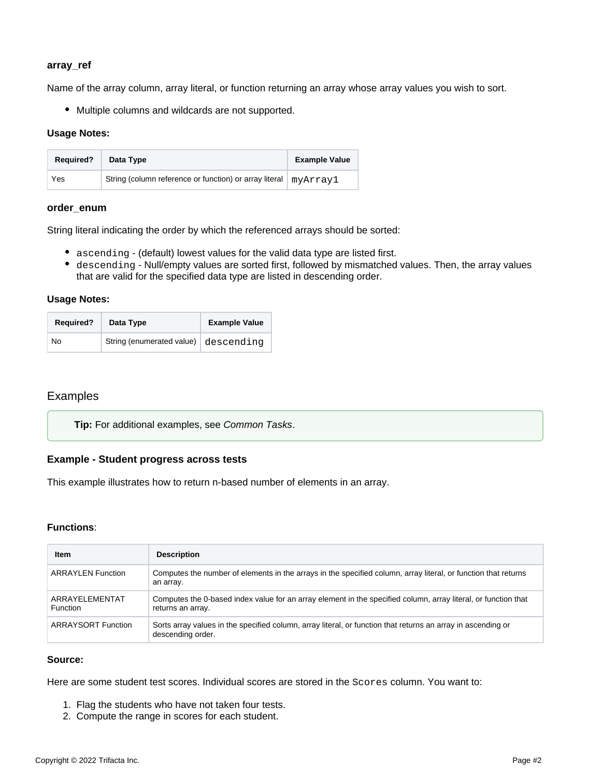# <span id="page-1-0"></span>**array\_ref**

Name of the array column, array literal, or function returning an array whose array values you wish to sort.

Multiple columns and wildcards are not supported.

## **Usage Notes:**

| <b>Required?</b> | Data Type                                                         | <b>Example Value</b> |
|------------------|-------------------------------------------------------------------|----------------------|
| Yes              | String (column reference or function) or array literal   myArray1 |                      |

#### <span id="page-1-1"></span>**order\_enum**

String literal indicating the order by which the referenced arrays should be sorted:

- ascending (default) lowest values for the valid data type are listed first.
- descending Null/empty values are sorted first, followed by mismatched values. Then, the array values that are valid for the specified data type are listed in descending order.

## **Usage Notes:**

| <b>Required?</b> | Data Type                            | <b>Example Value</b> |
|------------------|--------------------------------------|----------------------|
| No.              | String (enumerated value) descending |                      |

# <span id="page-1-2"></span>Examples

**Tip:** For additional examples, see [Common Tasks](https://docs.trifacta.com/display/AWS/Common+Tasks).

# <span id="page-1-3"></span>**Example - Student progress across tests**

This example illustrates how to return n-based number of elements in an array.

# **Functions**:

| <b>Item</b>                       | <b>Description</b>                                                                                                                  |
|-----------------------------------|-------------------------------------------------------------------------------------------------------------------------------------|
| <b>ARRAYLEN Function</b>          | Computes the number of elements in the arrays in the specified column, array literal, or function that returns<br>an array.         |
| ARRAYELEMENTAT<br><b>Function</b> | Computes the 0-based index value for an array element in the specified column, array literal, or function that<br>returns an array. |
| <b>ARRAYSORT Function</b>         | Sorts array values in the specified column, array literal, or function that returns an array in ascending or<br>descending order.   |

# **Source:**

Here are some student test scores. Individual scores are stored in the Scores column. You want to:

- 1. Flag the students who have not taken four tests.
- 2. Compute the range in scores for each student.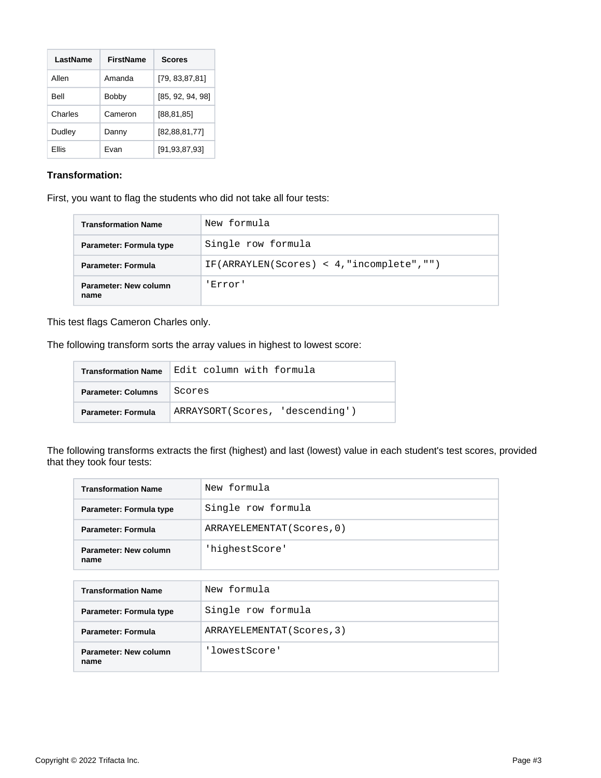| LastName | FirstName | <b>Scores</b>    |
|----------|-----------|------------------|
| Allen    | Amanda    | [79, 83, 87, 81] |
| Bell     | Bobby     | [85, 92, 94, 98] |
| Charles  | Cameron   | [88, 81, 85]     |
| Dudley   | Danny     | [82, 88, 81, 77] |
| Ellis    | Fvan      | [91, 93, 87, 93] |

# **Transformation:**

First, you want to flag the students who did not take all four tests:

| <b>Transformation Name</b>    | New formula                                  |
|-------------------------------|----------------------------------------------|
| Parameter: Formula type       | Single row formula                           |
| <b>Parameter: Formula</b>     | $IF(ARRAYLEN(Scores) < 4, "incomplete", "")$ |
| Parameter: New column<br>name | 'Error'                                      |

This test flags Cameron Charles only.

The following transform sorts the array values in highest to lowest score:

| <b>Transformation Name</b> | Edit column with formula        |
|----------------------------|---------------------------------|
| <b>Parameter: Columns</b>  | Scores                          |
| <b>Parameter: Formula</b>  | ARRAYSORT(Scores, 'descending') |

The following transforms extracts the first (highest) and last (lowest) value in each student's test scores, provided that they took four tests:

| <b>Transformation Name</b>    | New formula                |  |
|-------------------------------|----------------------------|--|
| Parameter: Formula type       | Single row formula         |  |
| Parameter: Formula            | ARRAYELEMENTAT (Scores, 0) |  |
| Parameter: New column<br>name | 'highestScore'             |  |
|                               |                            |  |
| <b>Transformation Name</b>    | New formula                |  |
| Parameter: Formula type       | Single row formula         |  |
| Parameter: Formula            | ARRAYELEMENTAT (Scores, 3) |  |
| Parameter: New column<br>name | 'lowestScore'              |  |